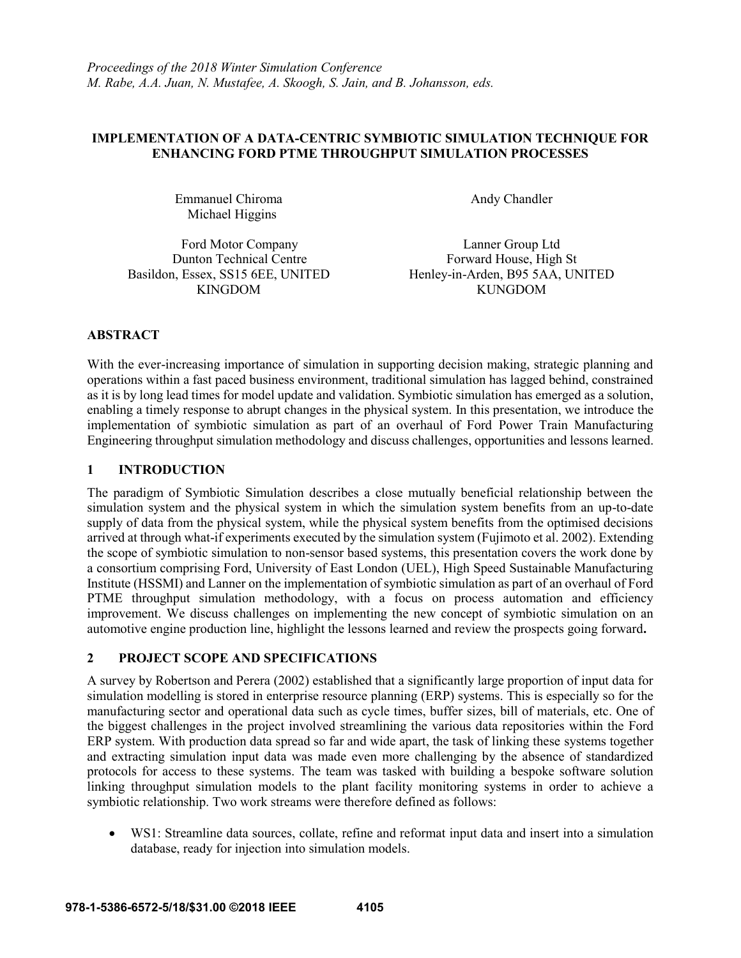### **IMPLEMENTATION OF A DATA-CENTRIC SYMBIOTIC SIMULATION TECHNIQUE FOR ENHANCING FORD PTME THROUGHPUT SIMULATION PROCESSES**

Emmanuel Chiroma Michael Higgins

Andy Chandler

Ford Motor Company Dunton Technical Centre Basildon, Essex, SS15 6EE, UNITED KINGDOM

Lanner Group Ltd Forward House, High St Henley-in-Arden, B95 5AA, UNITED KUNGDOM

### **ABSTRACT**

With the ever-increasing importance of simulation in supporting decision making, strategic planning and operations within a fast paced business environment, traditional simulation has lagged behind, constrained as it is by long lead times for model update and validation. Symbiotic simulation has emerged as a solution, enabling a timely response to abrupt changes in the physical system. In this presentation, we introduce the implementation of symbiotic simulation as part of an overhaul of Ford Power Train Manufacturing Engineering throughput simulation methodology and discuss challenges, opportunities and lessons learned.

### **1 INTRODUCTION**

The paradigm of Symbiotic Simulation describes a close mutually beneficial relationship between the simulation system and the physical system in which the simulation system benefits from an up-to-date supply of data from the physical system, while the physical system benefits from the optimised decisions arrived at through what-if experiments executed by the simulation system (Fujimoto et al. 2002). Extending the scope of symbiotic simulation to non-sensor based systems, this presentation covers the work done by a consortium comprising Ford, University of East London (UEL), High Speed Sustainable Manufacturing Institute (HSSMI) and Lanner on the implementation of symbiotic simulation as part of an overhaul of Ford PTME throughput simulation methodology, with a focus on process automation and efficiency improvement. We discuss challenges on implementing the new concept of symbiotic simulation on an automotive engine production line, highlight the lessons learned and review the prospects going forward**.**

# **2 PROJECT SCOPE AND SPECIFICATIONS**

A survey by Robertson and Perera (2002) established that a significantly large proportion of input data for simulation modelling is stored in enterprise resource planning (ERP) systems. This is especially so for the manufacturing sector and operational data such as cycle times, buffer sizes, bill of materials, etc. One of the biggest challenges in the project involved streamlining the various data repositories within the Ford ERP system. With production data spread so far and wide apart, the task of linking these systems together and extracting simulation input data was made even more challenging by the absence of standardized protocols for access to these systems. The team was tasked with building a bespoke software solution linking throughput simulation models to the plant facility monitoring systems in order to achieve a symbiotic relationship. Two work streams were therefore defined as follows:

 WS1: Streamline data sources, collate, refine and reformat input data and insert into a simulation database, ready for injection into simulation models.